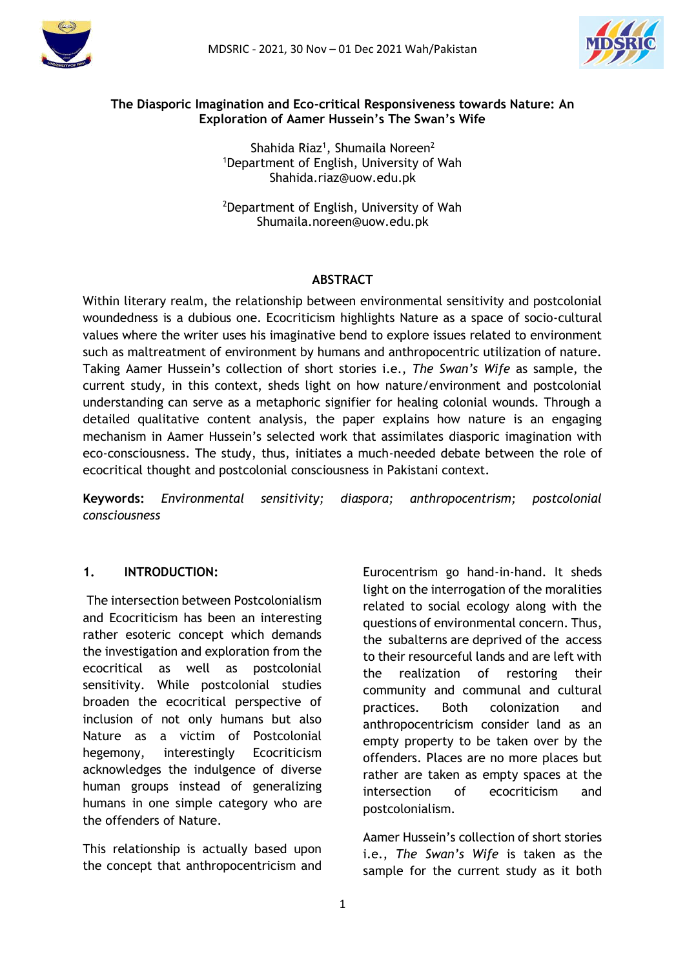



#### **The Diasporic Imagination and Eco-critical Responsiveness towards Nature: An Exploration of Aamer Hussein's The Swan's Wife**

Shahida Riaz<sup>1</sup>, Shumaila Noreen<sup>2</sup> <sup>1</sup>Department of English, University of Wah Shahida.riaz@uow.edu.pk

<sup>2</sup>Department of English, University of Wah Shumaila.noreen@uow.edu.pk

#### **ABSTRACT**

Within literary realm, the relationship between environmental sensitivity and postcolonial woundedness is a dubious one. Ecocriticism highlights Nature as a space of socio-cultural values where the writer uses his imaginative bend to explore issues related to environment such as maltreatment of environment by humans and anthropocentric utilization of nature. Taking Aamer Hussein's collection of short stories i.e., *The Swan's Wife* as sample, the current study, in this context, sheds light on how nature/environment and postcolonial understanding can serve as a metaphoric signifier for healing colonial wounds. Through a detailed qualitative content analysis, the paper explains how nature is an engaging mechanism in Aamer Hussein's selected work that assimilates diasporic imagination with eco-consciousness. The study, thus, initiates a much-needed debate between the role of ecocritical thought and postcolonial consciousness in Pakistani context.

**Keywords:** *Environmental sensitivity; diaspora; anthropocentrism; postcolonial consciousness*

## **1. INTRODUCTION:**

The intersection between Postcolonialism and Ecocriticism has been an interesting rather esoteric concept which demands the investigation and exploration from the ecocritical as well as postcolonial sensitivity. While postcolonial studies broaden the ecocritical perspective of inclusion of not only humans but also Nature as a victim of Postcolonial hegemony, interestingly Ecocriticism acknowledges the indulgence of diverse human groups instead of generalizing humans in one simple category who are the offenders of Nature.

This relationship is actually based upon the concept that anthropocentricism and Eurocentrism go hand-in-hand. It sheds light on the interrogation of the moralities related to social ecology along with the questions of environmental concern. Thus, the subalterns are deprived of the access to their resourceful lands and are left with the realization of restoring their community and communal and cultural practices. Both colonization and anthropocentricism consider land as an empty property to be taken over by the offenders. Places are no more places but rather are taken as empty spaces at the intersection of ecocriticism and postcolonialism.

Aamer Hussein's collection of short stories i.e., *The Swan's Wife* is taken as the sample for the current study as it both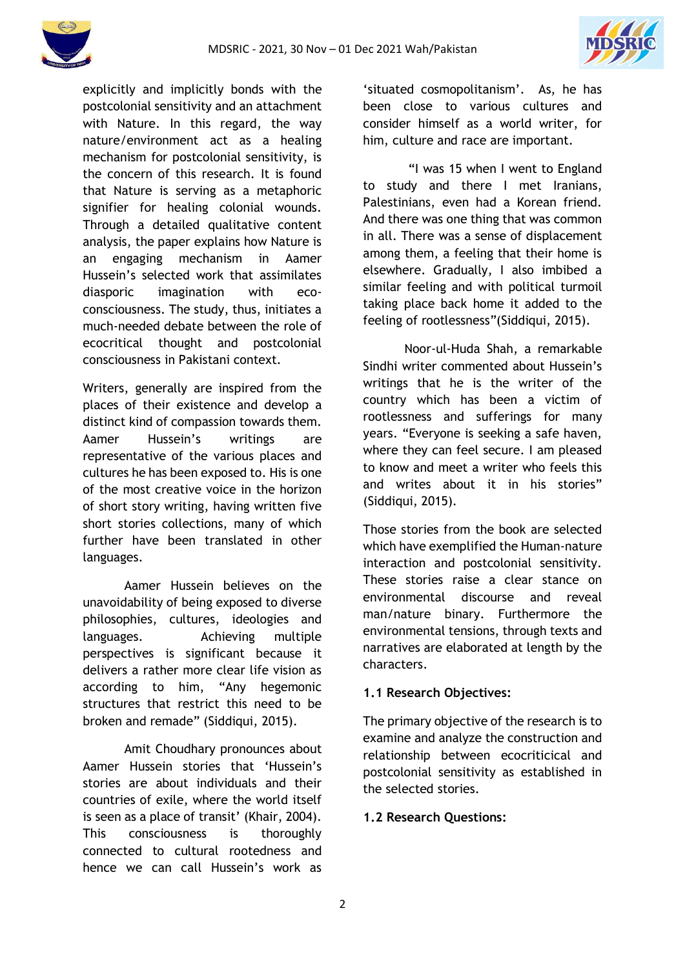



explicitly and implicitly bonds with the postcolonial sensitivity and an attachment with Nature. In this regard, the way nature/environment act as a healing mechanism for postcolonial sensitivity, is the concern of this research. It is found that Nature is serving as a metaphoric signifier for healing colonial wounds. Through a detailed qualitative content analysis, the paper explains how Nature is an engaging mechanism in Aamer Hussein's selected work that assimilates diasporic imagination with ecoconsciousness. The study, thus, initiates a much-needed debate between the role of ecocritical thought and postcolonial consciousness in Pakistani context.

Writers, generally are inspired from the places of their existence and develop a distinct kind of compassion towards them. Aamer Hussein's writings are representative of the various places and cultures he has been exposed to. His is one of the most creative voice in the horizon of short story writing, having written five short stories collections, many of which further have been translated in other languages.

Aamer Hussein believes on the unavoidability of being exposed to diverse philosophies, cultures, ideologies and languages. Achieving multiple perspectives is significant because it delivers a rather more clear life vision as according to him, "Any hegemonic structures that restrict this need to be broken and remade" (Siddiqui, 2015).

Amit Choudhary pronounces about Aamer Hussein stories that 'Hussein's stories are about individuals and their countries of exile, where the world itself is seen as a place of transit' (Khair, 2004). This consciousness is thoroughly connected to cultural rootedness and hence we can call Hussein's work as

'situated cosmopolitanism'. As, he has been close to various cultures and consider himself as a world writer, for him, culture and race are important.

"I was 15 when I went to England to study and there I met Iranians, Palestinians, even had a Korean friend. And there was one thing that was common in all. There was a sense of displacement among them, a feeling that their home is elsewhere. Gradually, I also imbibed a similar feeling and with political turmoil taking place back home it added to the feeling of rootlessness"(Siddiqui, 2015).

Noor-ul-Huda Shah, a remarkable Sindhi writer commented about Hussein's writings that he is the writer of the country which has been a victim of rootlessness and sufferings for many years. "Everyone is seeking a safe haven, where they can feel secure. I am pleased to know and meet a writer who feels this and writes about it in his stories" (Siddiqui, 2015).

Those stories from the book are selected which have exemplified the Human-nature interaction and postcolonial sensitivity. These stories raise a clear stance on environmental discourse and reveal man/nature binary. Furthermore the environmental tensions, through texts and narratives are elaborated at length by the characters.

#### **1.1 Research Objectives:**

The primary objective of the research is to examine and analyze the construction and relationship between ecocriticical and postcolonial sensitivity as established in the selected stories.

#### **1.2 Research Questions:**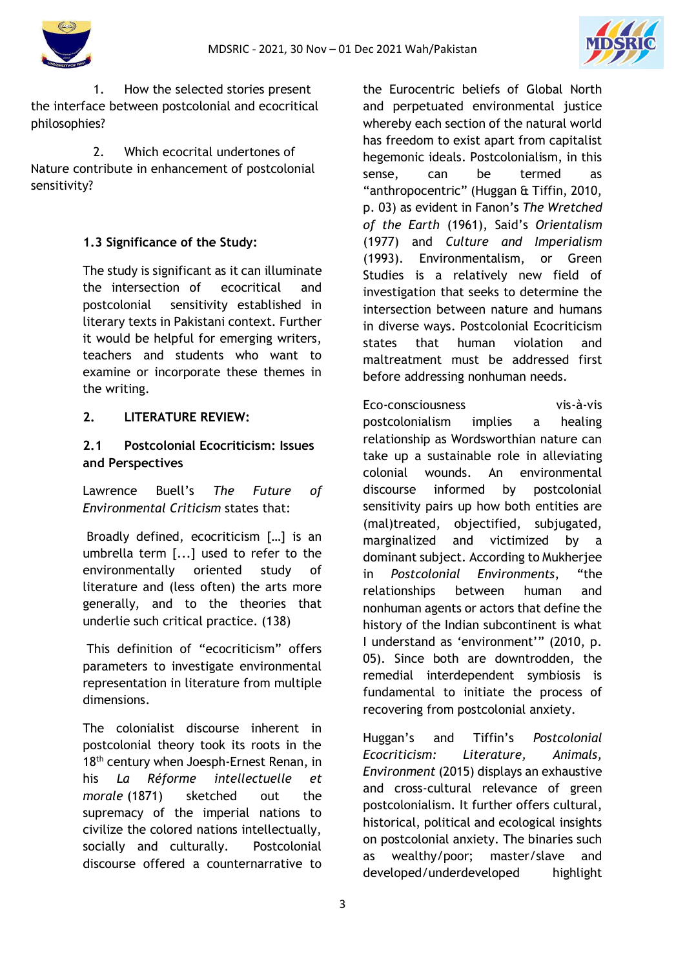



1. How the selected stories present the interface between postcolonial and ecocritical philosophies?

2. Which ecocrital undertones of Nature contribute in enhancement of postcolonial sensitivity?

## **1.3 Significance of the Study:**

The study is significant as it can illuminate the intersection of ecocritical and postcolonial sensitivity established in literary texts in Pakistani context. Further it would be helpful for emerging writers, teachers and students who want to examine or incorporate these themes in the writing.

## **2. LITERATURE REVIEW:**

## **2.1 Postcolonial Ecocriticism: Issues and Perspectives**

Lawrence Buell's *The Future of Environmental Criticism* states that:

Broadly defined, ecocriticism […] is an umbrella term [...] used to refer to the environmentally oriented study of literature and (less often) the arts more generally, and to the theories that underlie such critical practice. (138)

This definition of "ecocriticism" offers parameters to investigate environmental representation in literature from multiple dimensions.

The colonialist discourse inherent in postcolonial theory took its roots in the 18<sup>th</sup> century when Joesph-Ernest Renan, in his *La Réforme intellectuelle et morale* (1871) sketched out the supremacy of the imperial nations to civilize the colored nations intellectually, socially and culturally. Postcolonial discourse offered a counternarrative to the Eurocentric beliefs of Global North and perpetuated environmental justice whereby each section of the natural world has freedom to exist apart from capitalist hegemonic ideals. Postcolonialism, in this sense, can be termed as "anthropocentric" (Huggan & Tiffin, 2010, p. 03) as evident in Fanon's *The Wretched of the Earth* (1961), Said's *Orientalism* (1977) and *Culture and Imperialism*  (1993). Environmentalism, or Green Studies is a relatively new field of investigation that seeks to determine the intersection between nature and humans in diverse ways. Postcolonial Ecocriticism states that human violation and maltreatment must be addressed first before addressing nonhuman needs.

Eco-consciousness vis-à-vis postcolonialism implies a healing relationship as Wordsworthian nature can take up a sustainable role in alleviating colonial wounds. An environmental discourse informed by postcolonial sensitivity pairs up how both entities are (mal)treated, objectified, subjugated, marginalized and victimized by a dominant subject. According to Mukherjee in *Postcolonial Environments*, "the relationships between human and nonhuman agents or actors that define the history of the Indian subcontinent is what I understand as 'environment'" (2010, p. 05). Since both are downtrodden, the remedial interdependent symbiosis is fundamental to initiate the process of recovering from postcolonial anxiety.

Huggan's and Tiffin's *Postcolonial Ecocriticism: Literature, Animals, Environment* (2015) displays an exhaustive and cross-cultural relevance of green postcolonialism. It further offers cultural, historical, political and ecological insights on postcolonial anxiety. The binaries such as wealthy/poor; master/slave and developed/underdeveloped highlight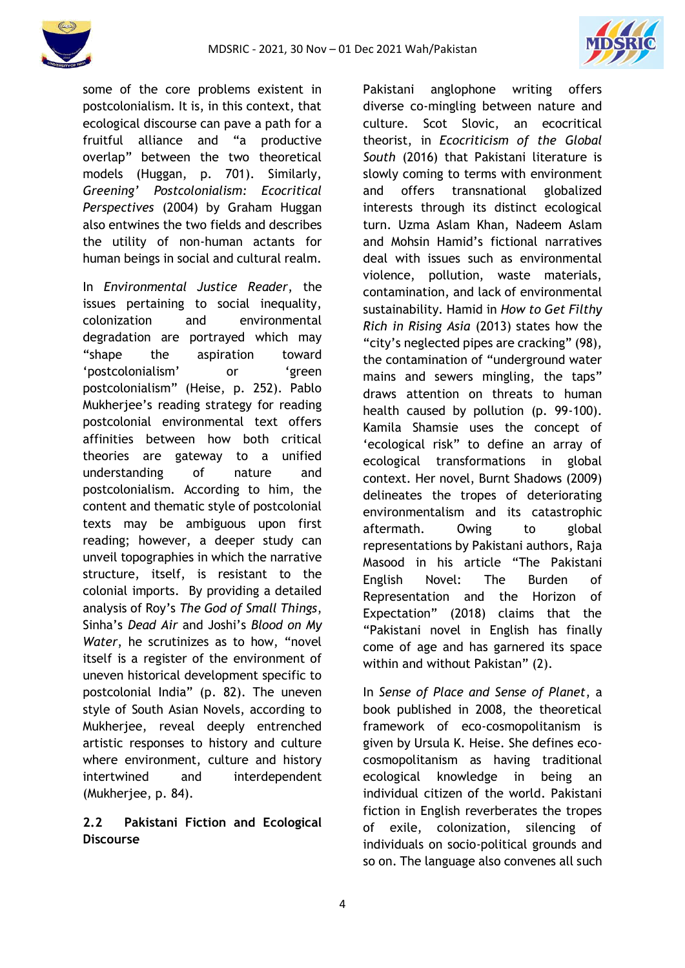



some of the core problems existent in postcolonialism. It is, in this context, that ecological discourse can pave a path for a fruitful alliance and "a productive overlap" between the two theoretical models (Huggan, p. 701). Similarly, *Greening' Postcolonialism: Ecocritical Perspectives* (2004) by Graham Huggan also entwines the two fields and describes the utility of non-human actants for human beings in social and cultural realm.

In *Environmental Justice Reader*, the issues pertaining to social inequality, colonization and environmental degradation are portrayed which may "shape the aspiration toward 'postcolonialism' or 'green postcolonialism" (Heise, p. 252). Pablo Mukherjee's reading strategy for reading postcolonial environmental text offers affinities between how both critical theories are gateway to a unified understanding of nature and postcolonialism. According to him, the content and thematic style of postcolonial texts may be ambiguous upon first reading; however, a deeper study can unveil topographies in which the narrative structure, itself, is resistant to the colonial imports. By providing a detailed analysis of Roy's *The God of Small Things*, Sinha's *Dead Air* and Joshi's *Blood on My Water*, he scrutinizes as to how, "novel itself is a register of the environment of uneven historical development specific to postcolonial India" (p. 82). The uneven style of South Asian Novels, according to Mukherjee, reveal deeply entrenched artistic responses to history and culture where environment, culture and history intertwined and interdependent (Mukherjee, p. 84).

## **2.2 Pakistani Fiction and Ecological Discourse**

Pakistani anglophone writing offers diverse co-mingling between nature and culture. Scot Slovic, an ecocritical theorist, in *Ecocriticism of the Global South* (2016) that Pakistani literature is slowly coming to terms with environment and offers transnational globalized interests through its distinct ecological turn. Uzma Aslam Khan, Nadeem Aslam and Mohsin Hamid's fictional narratives deal with issues such as environmental violence, pollution, waste materials, contamination, and lack of environmental sustainability. Hamid in *How to Get Filthy Rich in Rising Asia* (2013) states how the "city's neglected pipes are cracking" (98), the contamination of "underground water mains and sewers mingling, the taps" draws attention on threats to human health caused by pollution (p. 99-100). Kamila Shamsie uses the concept of 'ecological risk" to define an array of ecological transformations in global context. Her novel, Burnt Shadows (2009) delineates the tropes of deteriorating environmentalism and its catastrophic aftermath. Owing to global representations by Pakistani authors, Raja Masood in his article "The Pakistani English Novel: The Burden of Representation and the Horizon of Expectation" (2018) claims that the "Pakistani novel in English has finally come of age and has garnered its space within and without Pakistan" (2).

In *Sense of Place and Sense of Planet*, a book published in 2008, the theoretical framework of eco-cosmopolitanism is given by Ursula K. Heise. She defines ecocosmopolitanism as having traditional ecological knowledge in being an individual citizen of the world. Pakistani fiction in English reverberates the tropes of exile, colonization, silencing of individuals on socio-political grounds and so on. The language also convenes all such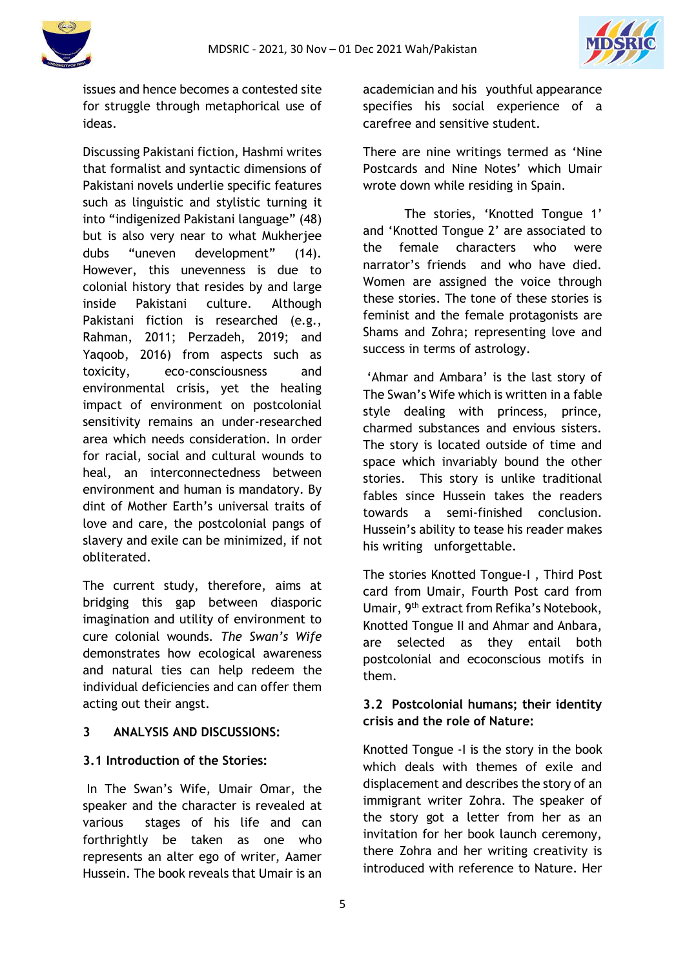

issues and hence becomes a contested site for struggle through metaphorical use of ideas.

Discussing Pakistani fiction, Hashmi writes that formalist and syntactic dimensions of Pakistani novels underlie specific features such as linguistic and stylistic turning it into "indigenized Pakistani language" (48) but is also very near to what Mukherjee dubs "uneven development" (14). However, this unevenness is due to colonial history that resides by and large inside Pakistani culture. Although Pakistani fiction is researched (e.g., Rahman, 2011; Perzadeh, 2019; and Yaqoob, 2016) from aspects such as toxicity, eco-consciousness and environmental crisis, yet the healing impact of environment on postcolonial sensitivity remains an under-researched area which needs consideration. In order for racial, social and cultural wounds to heal, an interconnectedness between environment and human is mandatory. By dint of Mother Earth's universal traits of love and care, the postcolonial pangs of slavery and exile can be minimized, if not obliterated.

The current study, therefore, aims at bridging this gap between diasporic imagination and utility of environment to cure colonial wounds. *The Swan's Wife* demonstrates how ecological awareness and natural ties can help redeem the individual deficiencies and can offer them acting out their angst.

#### **3 ANALYSIS AND DISCUSSIONS:**

#### **3.1 Introduction of the Stories:**

In The Swan's Wife, Umair Omar, the speaker and the character is revealed at various stages of his life and can forthrightly be taken as one who represents an alter ego of writer, Aamer Hussein. The book reveals that Umair is an academician and his youthful appearance specifies his social experience of a carefree and sensitive student.

There are nine writings termed as 'Nine Postcards and Nine Notes' which Umair wrote down while residing in Spain.

The stories, 'Knotted Tongue 1' and 'Knotted Tongue 2' are associated to the female characters who were narrator's friends and who have died. Women are assigned the voice through these stories. The tone of these stories is feminist and the female protagonists are Shams and Zohra; representing love and success in terms of astrology.

'Ahmar and Ambara' is the last story of The Swan's Wife which is written in a fable style dealing with princess, prince, charmed substances and envious sisters. The story is located outside of time and space which invariably bound the other stories. This story is unlike traditional fables since Hussein takes the readers towards a semi-finished conclusion. Hussein's ability to tease his reader makes his writing unforgettable.

The stories Knotted Tongue-I , Third Post card from Umair, Fourth Post card from Umair, 9<sup>th</sup> extract from Refika's Notebook, Knotted Tongue II and Ahmar and Anbara, are selected as they entail both postcolonial and ecoconscious motifs in them.

## **3.2 Postcolonial humans; their identity crisis and the role of Nature:**

Knotted Tongue -I is the story in the book which deals with themes of exile and displacement and describes the story of an immigrant writer Zohra. The speaker of the story got a letter from her as an invitation for her book launch ceremony, there Zohra and her writing creativity is introduced with reference to Nature. Her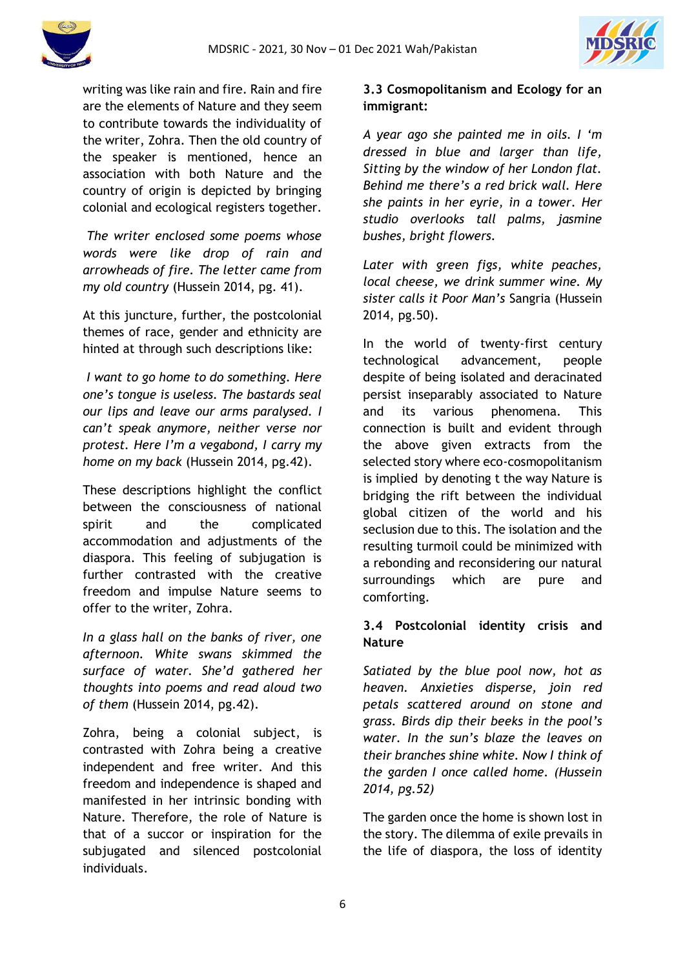



writing was like rain and fire. Rain and fire are the elements of Nature and they seem to contribute towards the individuality of the writer, Zohra. Then the old country of the speaker is mentioned, hence an association with both Nature and the country of origin is depicted by bringing colonial and ecological registers together.

*The writer enclosed some poems whose words were like drop of rain and arrowheads of fire. The letter came from my old country* (Hussein 2014, pg. 41).

At this juncture, further, the postcolonial themes of race, gender and ethnicity are hinted at through such descriptions like:

*I want to go home to do something. Here one's tongue is useless. The bastards seal our lips and leave our arms paralysed. I can't speak anymore, neither verse nor protest. Here I'm a vegabond, I carry my home on my back* (Hussein 2014, pg.42).

These descriptions highlight the conflict between the consciousness of national spirit and the complicated accommodation and adjustments of the diaspora. This feeling of subjugation is further contrasted with the creative freedom and impulse Nature seems to offer to the writer, Zohra.

*In a glass hall on the banks of river, one afternoon. White swans skimmed the surface of water. She'd gathered her thoughts into poems and read aloud two of them* (Hussein 2014, pg.42).

Zohra, being a colonial subject, is contrasted with Zohra being a creative independent and free writer. And this freedom and independence is shaped and manifested in her intrinsic bonding with Nature. Therefore, the role of Nature is that of a succor or inspiration for the subjugated and silenced postcolonial individuals.

# **3.3 Cosmopolitanism and Ecology for an immigrant:**

*A year ago she painted me in oils. I 'm dressed in blue and larger than life, Sitting by the window of her London flat. Behind me there's a red brick wall. Here she paints in her eyrie, in a tower. Her studio overlooks tall palms, jasmine bushes, bright flowers.* 

*Later with green figs, white peaches, local cheese, we drink summer wine. My sister calls it Poor Man's* Sangria (Hussein 2014, pg.50).

In the world of twenty-first century technological advancement, people despite of being isolated and deracinated persist inseparably associated to Nature and its various phenomena. This connection is built and evident through the above given extracts from the selected story where eco-cosmopolitanism is implied by denoting t the way Nature is bridging the rift between the individual global citizen of the world and his seclusion due to this. The isolation and the resulting turmoil could be minimized with a rebonding and reconsidering our natural surroundings which are pure and comforting.

## **3.4 Postcolonial identity crisis and Nature**

*Satiated by the blue pool now, hot as heaven. Anxieties disperse, join red petals scattered around on stone and grass. Birds dip their beeks in the pool's water. In the sun's blaze the leaves on their branches shine white. Now I think of the garden I once called home. (Hussein 2014, pg.52)* 

The garden once the home is shown lost in the story. The dilemma of exile prevails in the life of diaspora, the loss of identity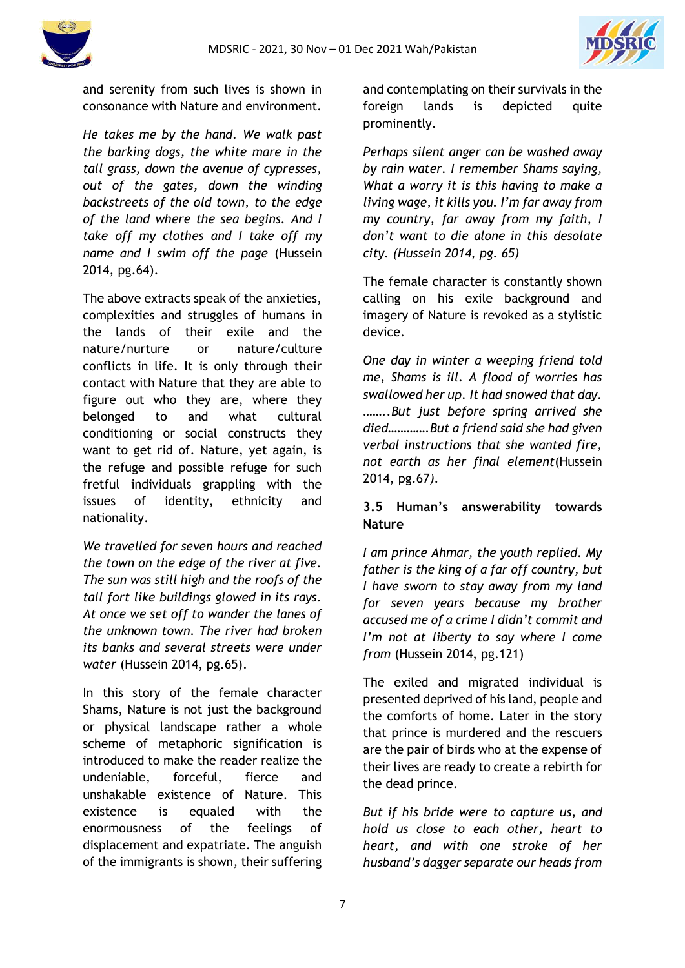



and serenity from such lives is shown in consonance with Nature and environment.

*He takes me by the hand. We walk past the barking dogs, the white mare in the tall grass, down the avenue of cypresses, out of the gates, down the winding backstreets of the old town, to the edge of the land where the sea begins. And I take off my clothes and I take off my name and I swim off the page* (Hussein 2014, pg.64).

The above extracts speak of the anxieties, complexities and struggles of humans in the lands of their exile and the nature/nurture or nature/culture conflicts in life. It is only through their contact with Nature that they are able to figure out who they are, where they belonged to and what cultural conditioning or social constructs they want to get rid of. Nature, yet again, is the refuge and possible refuge for such fretful individuals grappling with the issues of identity, ethnicity and nationality.

*We travelled for seven hours and reached the town on the edge of the river at five. The sun was still high and the roofs of the tall fort like buildings glowed in its rays. At once we set off to wander the lanes of the unknown town. The river had broken its banks and several streets were under water* (Hussein 2014, pg.65).

In this story of the female character Shams, Nature is not just the background or physical landscape rather a whole scheme of metaphoric signification is introduced to make the reader realize the undeniable, forceful, fierce and unshakable existence of Nature. This existence is equaled with the enormousness of the feelings of displacement and expatriate. The anguish of the immigrants is shown, their suffering and contemplating on their survivals in the foreign lands is depicted quite prominently.

*Perhaps silent anger can be washed away by rain water. I remember Shams saying, What a worry it is this having to make a living wage, it kills you. I'm far away from my country, far away from my faith, I don't want to die alone in this desolate city. (Hussein 2014, pg. 65)*

The female character is constantly shown calling on his exile background and imagery of Nature is revoked as a stylistic device.

*One day in winter a weeping friend told me, Shams is ill. A flood of worries has swallowed her up. It had snowed that day. ……..But just before spring arrived she died………….But a friend said she had given verbal instructions that she wanted fire, not earth as her final element*(Hussein 2014, pg.67*).* 

## **3.5 Human's answerability towards Nature**

*I am prince Ahmar, the youth replied. My father is the king of a far off country, but I have sworn to stay away from my land for seven years because my brother accused me of a crime I didn't commit and I'm not at liberty to say where I come from* (Hussein 2014, pg.121)

The exiled and migrated individual is presented deprived of his land, people and the comforts of home. Later in the story that prince is murdered and the rescuers are the pair of birds who at the expense of their lives are ready to create a rebirth for the dead prince.

*But if his bride were to capture us, and hold us close to each other, heart to heart, and with one stroke of her husband's dagger separate our heads from*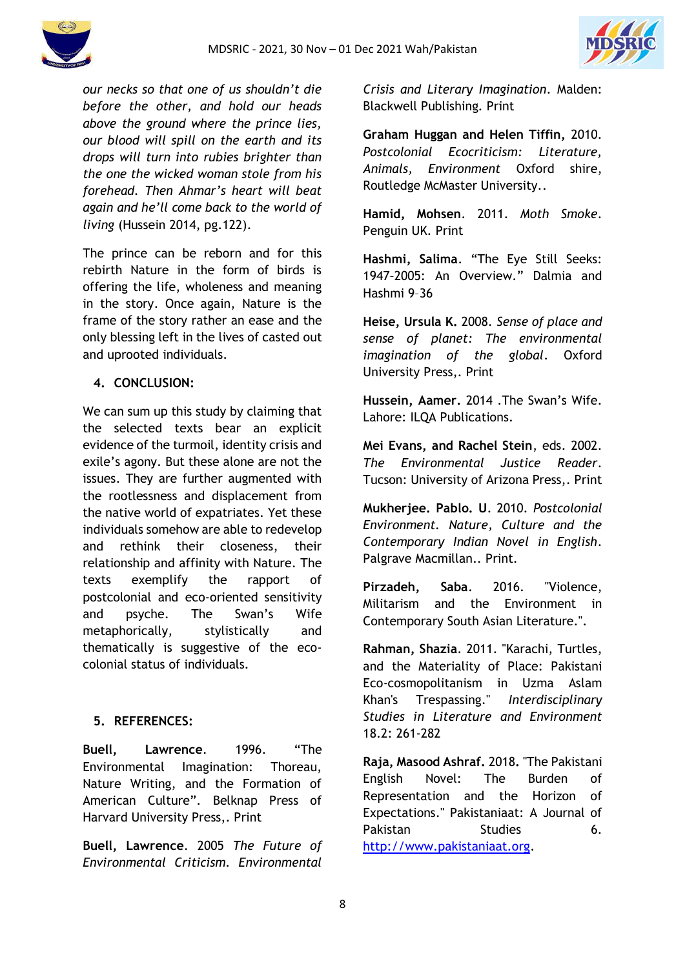

*our necks so that one of us shouldn't die before the other, and hold our heads above the ground where the prince lies, our blood will spill on the earth and its drops will turn into rubies brighter than the one the wicked woman stole from his forehead. Then Ahmar's heart will beat again and he'll come back to the world of living* (Hussein 2014, pg.122).

The prince can be reborn and for this rebirth Nature in the form of birds is offering the life, wholeness and meaning in the story. Once again, Nature is the frame of the story rather an ease and the only blessing left in the lives of casted out and uprooted individuals.

## **4. CONCLUSION:**

We can sum up this study by claiming that the selected texts bear an explicit evidence of the turmoil, identity crisis and exile's agony. But these alone are not the issues. They are further augmented with the rootlessness and displacement from the native world of expatriates. Yet these individuals somehow are able to redevelop and rethink their closeness, their relationship and affinity with Nature. The texts exemplify the rapport of postcolonial and eco-oriented sensitivity and psyche. The Swan's Wife metaphorically, stylistically and thematically is suggestive of the ecocolonial status of individuals.

## **5. REFERENCES:**

**Buell, Lawrence**. 1996. "The Environmental Imagination: Thoreau, Nature Writing, and the Formation of American Culture". Belknap Press of Harvard University Press,. Print

**Buell, Lawrence**. 2005 *The Future of Environmental Criticism. Environmental* 

*Crisis and Literary Imagination*. Malden: Blackwell Publishing. Print

**Graham Huggan and Helen Tiffin,** 2010. *Postcolonial Ecocriticism: Literature, Animals, Environment* Oxford shire, Routledge McMaster University..

**Hamid, Mohsen**. 2011. *Moth Smoke*. Penguin UK. Print

**Hashmi, Salima**. "The Eye Still Seeks: 1947–2005: An Overview." Dalmia and Hashmi 9–36

**Heise, Ursula K.** 2008. *Sense of place and sense of planet: The environmental imagination of the global*. Oxford University Press,. Print

**Hussein, Aamer.** 2014 .The Swan's Wife. Lahore: ILQA Publications.

**Mei Evans, and Rachel Stein**, eds. 2002. *The Environmental Justice Reader*. Tucson: University of Arizona Press,. Print

**Mukherjee. Pablo. U**. 2010. *Postcolonial Environment. Nature, Culture and the Contemporary Indian Novel in English*. Palgrave Macmillan.. Print.

**Pirzadeh, Saba**. 2016. "Violence, Militarism and the Environment in Contemporary South Asian Literature.".

**Rahman, Shazia**. 2011. "Karachi, Turtles, and the Materiality of Place: Pakistani Eco-cosmopolitanism in Uzma Aslam Khan's Trespassing." *Interdisciplinary Studies in Literature and Environment*  18.2: 261-282

**Raja, Masood Ashraf.** 2018**.** "The Pakistani English Novel: The Burden of Representation and the Horizon of Expectations." Pakistaniaat: A Journal of Pakistan Studies 6. [http://www.pakistaniaat.org.](http://www.pakistaniaat.org/)